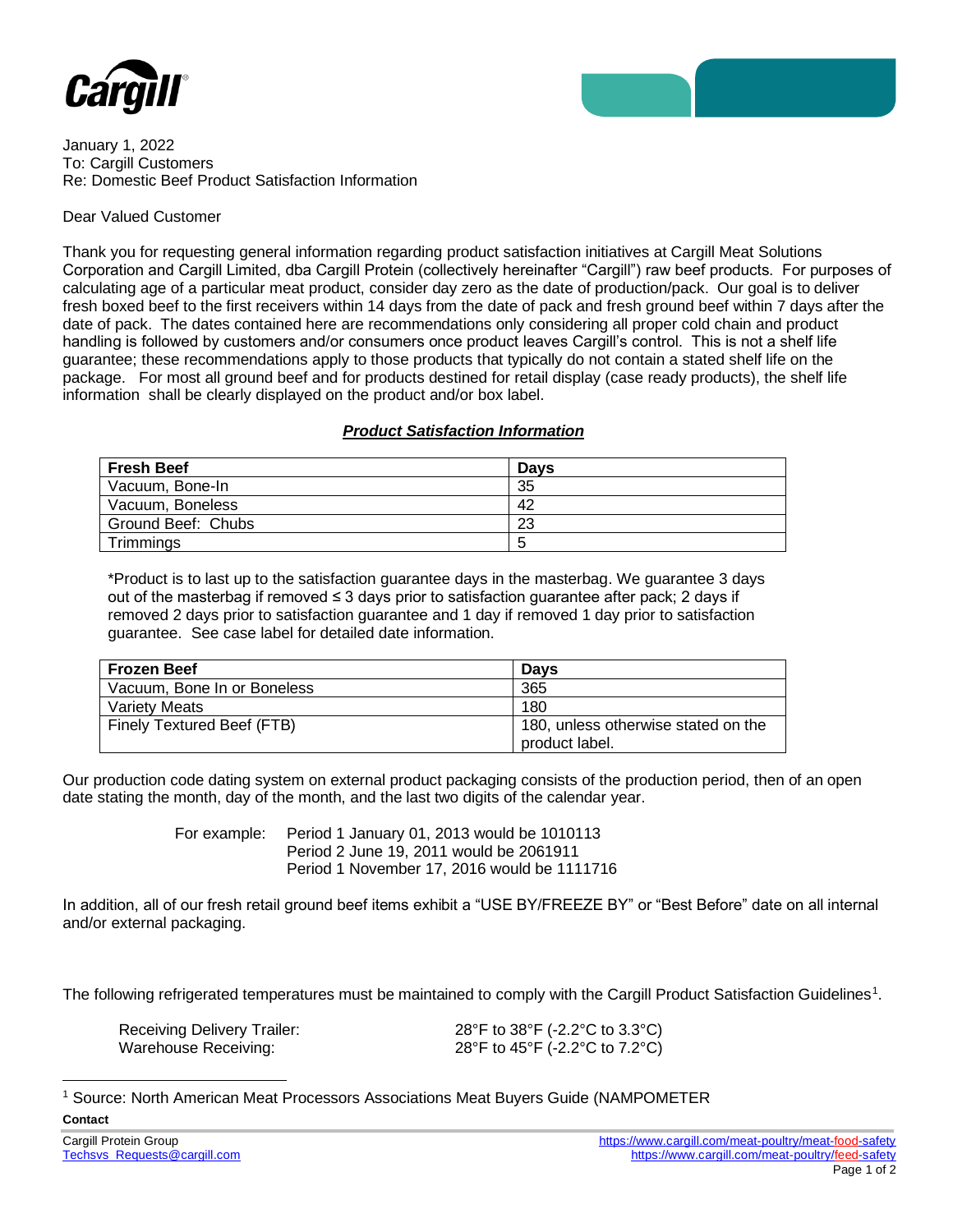

January 1, 2022 To: Cargill Customers Re: Domestic Beef Product Satisfaction Information

## Dear Valued Customer

Thank you for requesting general information regarding product satisfaction initiatives at Cargill Meat Solutions Corporation and Cargill Limited, dba Cargill Protein (collectively hereinafter "Cargill") raw beef products. For purposes of calculating age of a particular meat product, consider day zero as the date of production/pack. Our goal is to deliver fresh boxed beef to the first receivers within 14 days from the date of pack and fresh ground beef within 7 days after the date of pack. The dates contained here are recommendations only considering all proper cold chain and product handling is followed by customers and/or consumers once product leaves Cargill's control. This is not a shelf life guarantee; these recommendations apply to those products that typically do not contain a stated shelf life on the package. For most all ground beef and for products destined for retail display (case ready products), the shelf life information shall be clearly displayed on the product and/or box label.

## *Product Satisfaction Information*

| <b>Fresh Beef</b>  | <b>Davs</b> |
|--------------------|-------------|
| Vacuum, Bone-In    | 35          |
| Vacuum, Boneless   | 42          |
| Ground Beef: Chubs | 23          |
| Trimmings          | ∽           |

\*Product is to last up to the satisfaction guarantee days in the masterbag. We guarantee 3 days out of the masterbag if removed ≤ 3 days prior to satisfaction guarantee after pack; 2 days if removed 2 days prior to satisfaction guarantee and 1 day if removed 1 day prior to satisfaction guarantee. See case label for detailed date information.

| <b>Frozen Beef</b>          | <b>Davs</b>                                           |
|-----------------------------|-------------------------------------------------------|
| Vacuum. Bone In or Boneless | 365                                                   |
| Variety Meats               | 180                                                   |
| Finely Textured Beef (FTB)  | 180, unless otherwise stated on the<br>product label. |

Our production code dating system on external product packaging consists of the production period, then of an open date stating the month, day of the month, and the last two digits of the calendar year.

> For example: Period 1 January 01, 2013 would be 1010113 Period 2 June 19, 2011 would be 2061911 Period 1 November 17, 2016 would be 1111716

In addition, all of our fresh retail ground beef items exhibit a "USE BY/FREEZE BY" or "Best Before" date on all internal and/or external packaging.

The following refrigerated temperatures must be maintained to comply with the Cargill Product Satisfaction Guidelines<sup>1</sup>.

| <b>Receiving Delivery Trailer:</b> | 28°F to 38°F (-2.2°C to 3.3°C) |
|------------------------------------|--------------------------------|
| Warehouse Receiving:               | 28°F to 45°F (-2.2°C to 7.2°C) |

<sup>1</sup> Source: North American Meat Processors Associations Meat Buyers Guide (NAMPOMETER